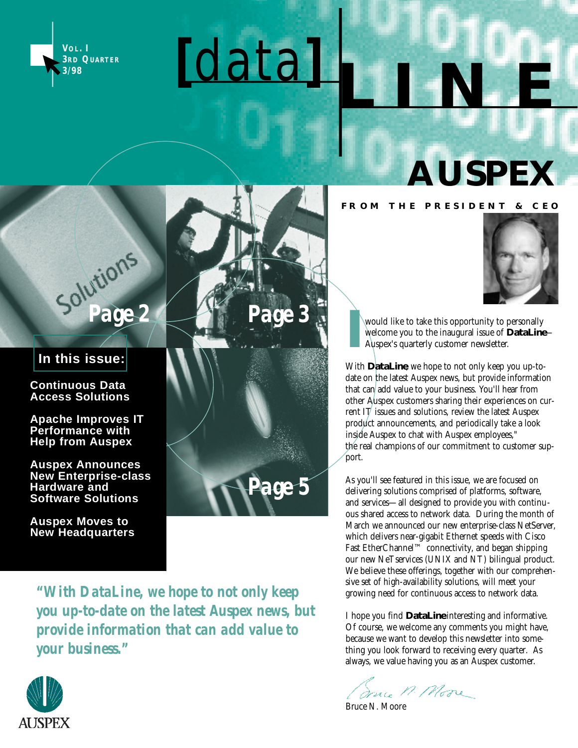



### **AUSPEX**

#### **F R O M T H E P R E S I D E N T & C E O**

#### **In this issue:**

**Continuous Data Access Solutions**

**Apache Improves IT Performance with Help from Auspex** 

**Auspex Announces New Enterprise-class Hardware and Software Solutions**

**Auspex Moves to New Headquarters**



*"With DataLine, we hope to not only keep you up-to-date on the latest Auspex news, but provide information that can add value to your business."*



would like to take this opportunity to personally welcome you to the inaugural issue of *DataLine*— Auspex's quarterly customer newsletter.

With *DataLine*, we hope to not only keep you up-todate on the latest Auspex news, but provide information that can add value to your business. You'll hear from other Auspex customers sharing their experiences on current IT issues and solutions, review the latest Auspex product announcements, and periodically take a look inside Auspex to chat with Auspex employees," the real champions of our commitment to customer support.

As you'll see featured in this issue, we are focused on delivering solutions comprised of platforms, software, and services—all designed to provide you with continuous shared access to network data. During the month of March we announced our new enterprise-class NetServer, which delivers near-gigabit Ethernet speeds with Cisco Fast EtherChannel™ connectivity, and began shipping our new NeTservices (UNIX and NT) bilingual product. We believe these offerings, together with our comprehensive set of high-availability solutions, will meet your growing need for continuous access to network data.

I hope you find *DataLine*interesting and informative. Of course, we welcome any comments you might have, because we want to develop this newsletter into something you look forward to receiving every quarter. As always, we value having you as an Auspex customer.

Some M. More

Bruce N. Moore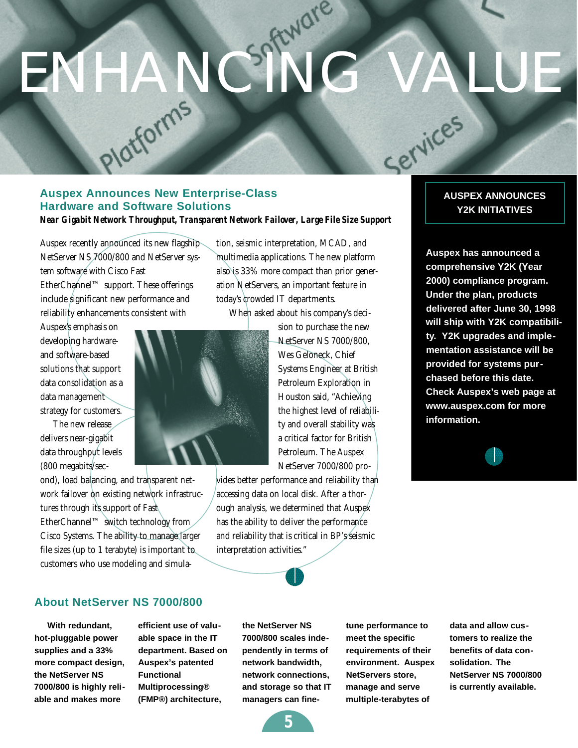# ENHANCIA<sup>RWare</sup>

#### **Auspex Announces New Enterprise-Class Hardware and Software Solutions** *Near Gigabit Network Throughput, Transparent Network Failover, Large File Size Support*

Auspex recently announced its new flagship NetServer NS 7000/800 and NetServer system software with Cisco Fast EtherChannel™ support. These offerings include significant new performance and reliability enhancements consistent with

Auspex's emphasis on developing hardwareand software-based solutions that support data consolidation as a data management strategy for customers.

The new release delivers near-gigabit data throughput levels (800 megabits/sec-

ond), load balancing, and transparent network failover on existing network infrastructures through its support of Fast EtherChannel™ switch technology from Cisco Systems. The ability to manage larger file sizes (up to 1 terabyte) is important to customers who use modeling and simulation, seismic interpretation, MCAD, and multimedia applications. The new platform also is 33% more compact than prior generation NetServers, an important feature in today's crowded IT departments.

When asked about his company's deci-



sion to purchase the new NetServer NS 7000/800, Wes Geloneck, Chief Systems Engineer at British Petroleum Exploration in Houston said, "Achieving the highest level of reliability and overall stability was a critical factor for British Petroleum. The Auspex NetServer 7000/800 pro-

vides better performance and reliability than accessing data on local disk. After a thorough analysis, we determined that Auspex has the ability to deliver the performance and reliability that is critical in BP's seismic interpretation activities."

#### **AUSPEX ANNOUNCES Y2K INITIATIVES**

Services

**Auspex has announced a comprehensive Y2K (Year 2000) compliance program. Under the plan, products delivered after June 30, 1998 will ship with Y2K compatibility. Y2K upgrades and implementation assistance will be provided for systems purchased before this date. Check Auspex's web page at www.auspex.com for more information.**



**About NetServer NS 7000/800**

**With redundant, hot-pluggable power supplies and a 33% more compact design, the NetServer NS 7000/800 is highly reliable and makes more**

**efficient use of valuable space in the IT department. Based on Auspex's patented Functional Multiprocessing® (FMP®) architecture,**

**the NetServer NS 7000/800 scales independently in terms of network bandwidth, network connections, and storage so that IT managers can fine-**

**tune performance to meet the specific requirements of their environment. Auspex NetServers store, manage and serve multiple-terabytes of**

**data and allow customers to realize the benefits of data consolidation. The NetServer NS 7000/800 is currently available.**

**5**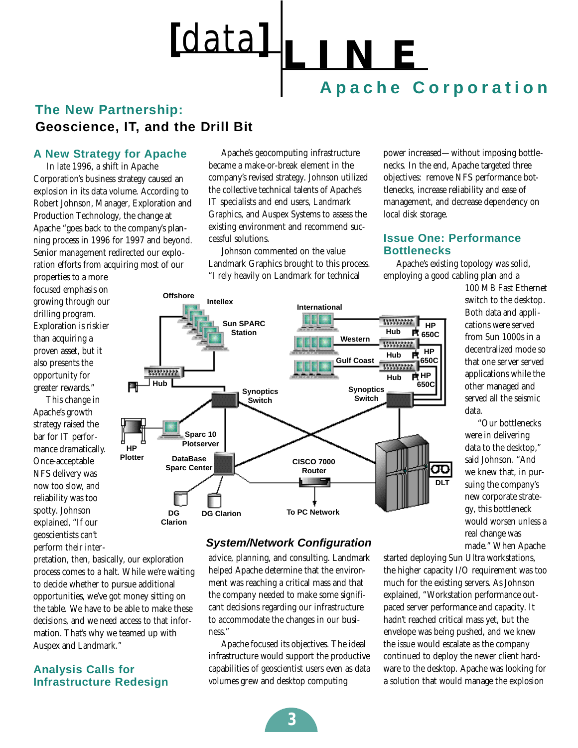

#### **The New Partnership: Geoscience, IT, and the Drill Bit**

#### **A New Strategy for Apache**

In late 1996, a shift in Apache Corporation's business strategy caused an explosion in its data volume. According to Robert Johnson, Manager, Exploration and Production Technology, the change at Apache "goes back to the company's planning process in 1996 for 1997 and beyond. Senior management redirected our exploration efforts from acquiring most of our

properties to a more focused emphasis on growing through our drilling program. Exploration is riskier than acquiring a proven asset, but it also presents the opportunity for greater rewards."

This change in Apache's growth strategy raised the bar for IT performance dramatically. Once-acceptable NFS delivery was now too slow, and reliability was too spotty. Johnson explained, "If our geoscientists can't perform their inter-

Apache's geocomputing infrastructure became a make-or-break element in the company's revised strategy. Johnson utilized the collective technical talents of Apache's IT specialists and end users, Landmark Graphics, and Auspex Systems to assess the existing environment and recommend successful solutions.

Johnson commented on the value Landmark Graphics brought to this process. "I rely heavily on Landmark for technical

power increased—without imposing bottlenecks. In the end, Apache targeted three objectives: remove NFS performance bottlenecks, increase reliability and ease of management, and decrease dependency on local disk storage.

#### **Issue One: Performance Bottlenecks**

Apache's existing topology was solid, employing a good cabling plan and a



**System/Network Configuration**

advice, planning, and consulting. Landmark helped Apache determine that the environment was reaching a critical mass and that the company needed to make some significant decisions regarding our infrastructure to accommodate the changes in our business."

Apache focused its objectives. The ideal infrastructure would support the productive capabilities of geoscientist users even as data volumes grew and desktop computing

100 MB Fast Ethernet switch to the desktop. Both data and applications were served from Sun 1000s in a decentralized mode so that one server served applications while the other managed and served all the seismic data.

"Our bottlenecks were in delivering data to the desktop," said Johnson. "And we knew that, in pursuing the company's new corporate strategy, this bottleneck would worsen unless a real change was made." When Apache

started deploying Sun Ultra workstations, the higher capacity I/O requirement was too much for the existing servers. As Johnson explained, "Workstation performance outpaced server performance and capacity. It hadn't reached critical mass yet, but the envelope was being pushed, and we knew the issue would escalate as the company continued to deploy the newer client hardware to the desktop. Apache was looking for a solution that would manage the explosion

pretation, then, basically, our exploration process comes to a halt. While we're waiting to decide whether to pursue additional opportunities, we've got money sitting on the table. We have to be able to make these decisions, and we need access to that information. That's why we teamed up with Auspex and Landmark."

#### **Analysis Calls for Infrastructure Redesign**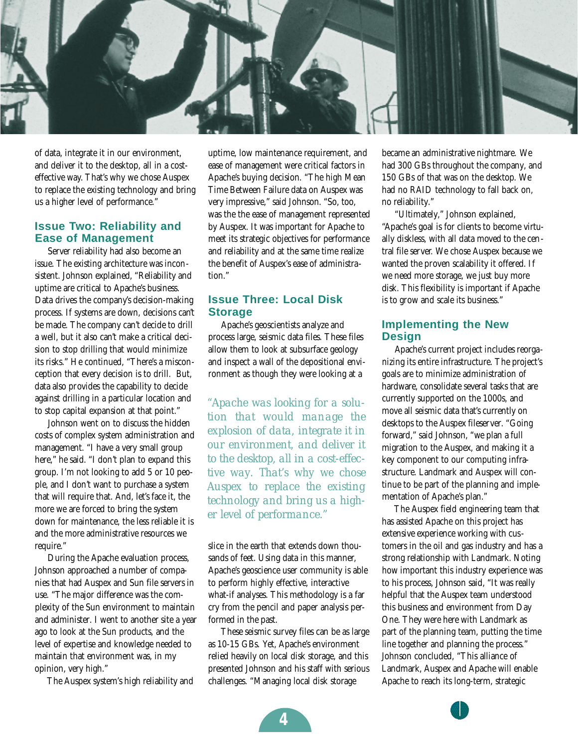

of data, integrate it in our environment, and deliver it to the desktop, all in a costeffective way. That's why we chose Auspex to replace the existing technology and bring us a higher level of performance."

#### **Issue Two: Reliability and Ease of Management**

Server reliability had also become an issue. The existing architecture was inconsistent. Johnson explained, "Reliability and uptime are critical to Apache's business. Data drives the company's decision-making process. If systems are down, decisions can't be made. The company can't decide to drill a well, but it also can't make a critical decision to stop drilling that would minimize its risks." He continued, "There's a misconception that every decision is to drill. But, data also provides the capability to decide against drilling in a particular location and to stop capital expansion at that point."

Johnson went on to discuss the hidden costs of complex system administration and management. "I have a very small group here," he said. "I don't plan to expand this group. I'm not looking to add 5 or 10 people, and I don't want to purchase a system that will require that. And, let's face it, the more we are forced to bring the system down for maintenance, the less reliable it is and the more administrative resources we require."

During the Apache evaluation process, Johnson approached a number of companies that had Auspex and Sun file servers in use. "The major difference was the complexity of the Sun environment to maintain and administer. I went to another site a year ago to look at the Sun products, and the level of expertise and knowledge needed to maintain that environment was, in my opinion, very high."

The Auspex system's high reliability and

uptime, low maintenance requirement, and ease of management were critical factors in Apache's buying decision. "The high Mean Time Between Failure data on Auspex was very impressive," said Johnson. "So, too, was the the ease of management represented by Auspex. It was important for Apache to meet its strategic objectives for performance and reliability and at the same time realize the benefit of Auspex's ease of administration."

#### **Issue Three: Local Disk Storage**

Apache's geoscientists analyze and process large, seismic data files. These files allow them to look at subsurface geology and inspect a wall of the depositional environment as though they were looking at a

*"Apache was looking for a solution that would manage the explosion of data, integrate it in our environment, and deliver it to the desktop, all in a cost-effective way. That's why we chose Auspex to replace the existing technology and bring us a higher level of performance."*

slice in the earth that extends down thousands of feet. Using data in this manner, Apache's geoscience user community is able to perform highly effective, interactive what-if analyses. This methodology is a far cry from the pencil and paper analysis performed in the past.

These seismic survey files can be as large as 10-15 GBs. Yet, Apache's environment relied heavily on local disk storage, and this presented Johnson and his staff with serious challenges. "Managing local disk storage

became an administrative nightmare. We had 300 GBs throughout the company, and 150 GBs of that was on the desktop. We had no RAID technology to fall back on, no reliability."

"Ultimately," Johnson explained, "Apache's goal is for clients to become virtually diskless, with all data moved to the central file server. We chose Auspex because we wanted the proven scalability it offered. If we need more storage, we just buy more disk. This flexibility is important if Apache is to grow and scale its business."

#### **Implementing the New Design**

Apache's current project includes reorganizing its entire infrastructure. The project's goals are to minimize administration of hardware, consolidate several tasks that are currently supported on the 1000s, and move all seismic data that's currently on desktops to the Auspex fileserver. "Going forward," said Johnson, "we plan a full migration to the Auspex, and making it a key component to our computing infrastructure. Landmark and Auspex will continue to be part of the planning and implementation of Apache's plan."

The Auspex field engineering team that has assisted Apache on this project has extensive experience working with customers in the oil and gas industry and has a strong relationship with Landmark. Noting how important this industry experience was to his process, Johnson said, "It was really helpful that the Auspex team understood this business and environment from Day One. They were here with Landmark as part of the planning team, putting the time line together and planning the process." Johnson concluded, "This alliance of Landmark, Auspex and Apache will enable Apache to reach its long-term, strategic

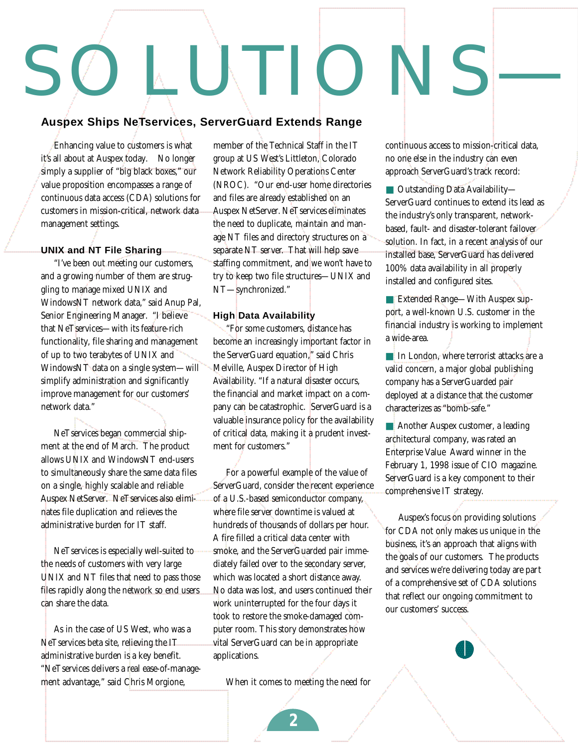# INT I C

#### **Auspex Ships NeTservices, ServerGuard Extends Range**

Enhancing value to customers is what it's all about at Auspex today. No longer simply a supplier of "big black boxes," our value proposition encompasses a range of continuous data access (CDA) solutions for customers in mission-critical, network data management settings.

#### **UNIX and NT File Sharing**

"I've been out meeting our customers, and a growing number of them are struggling to manage mixed UNIX and WindowsNT network data," said Anup Pal, Senior Engineering Manager. "I believe that NeTservices—with its feature-rich functionality, file sharing and management of up to two terabytes of UNIX and WindowsNT data on a single system—will simplify administration and significantly improve management for our customers' network data."

NeTservices began commercial shipment at the end of March. The product allows UNIX and WindowsNT end-users to simultaneously share the same data files on a single, highly scalable and reliable Auspex NetServer. NeTservices also eliminates file duplication and relieves the administrative burden for IT staff.

NeTservices is especially well-suited to the needs of customers with very large UNIX and NT files that need to pass those files rapidly along the network so end users can share the data.

As in the case of US West, who was a NeTservices beta site, relieving the IT administrative burden is a key benefit. "NeTservices delivers a real ease-of-management advantage," said Chris Morgione,

member of the Technical Staff in the IT group at US West's Littleton, Colorado Network Reliability Operations Center (NROC). "Our end-user home directories and files are already established on an Auspex NetServer. NeTservices eliminates the need to duplicate, maintain and manage NT files and directory structures on a separate NT server. That will help save staffing commitment, and we won't have to try to keep two file structures—UNIX and NT—synchronized."

#### **High Data Availability**

"For some customers, distance has become an increasingly important factor in the ServerGuard equation," said Chris Melville, Auspex Director of High Availability. "If a natural disaster occurs, the financial and market impact on a company can be catastrophic. ServerGuard is a valuable insurance policy for the availability of critical data, making it a prudent investment for customers."

For a powerful example of the value of ServerGuard, consider the recent experience of a U.S.-based semiconductor company, where file server downtime is valued at hundreds of thousands of dollars per hour. A fire filled a critical data center with smoke, and the ServerGuarded pair immediately failed over to the secondary server, which was located a short distance away. No data was lost, and users continued their work uninterrupted for the four days it took to restore the smoke-damaged computer room. This story demonstrates how vital ServerGuard can be in appropriate applications.

When it comes to meeting the need for

continuous access to mission-critical data, no one else in the industry can even approach ServerGuard's track record:

■ Outstanding Data Availability— ServerGuard continues to extend its lead as the industry's only transparent, networkbased, fault- and disaster-tolerant failover solution. In fact, in a recent analysis of our installed base, ServerGuard has delivered 100% data availability in all properly installed and configured sites.

■ Extended Range—With Auspex support, a well-known U.S. customer in the financial industry is working to implement a wide-area.

■ In London, where terrorist attacks are a valid concern, a major global publishing company has a ServerGuarded pair deployed at a distance that the customer characterizes as "bomb-safe."

■ Another Auspex customer, a leading architectural company, was rated an Enterprise Value Award winner in the February 1, 1998 issue of CIO magazine. ServerGuard is a key component to their comprehensive IT strategy.

Auspex's focus on providing solutions for CDA not only makes us unique in the business, it's an approach that aligns with the goals of our customers. The products and services we're delivering today are part of a comprehensive set of CDA solutions that reflect our ongoing commitment to our customers' success.